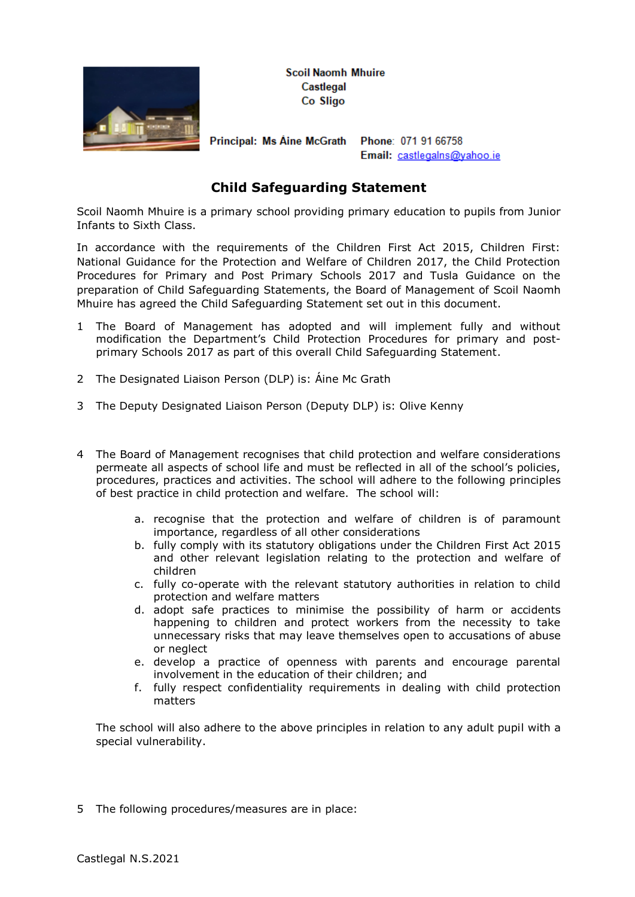

**Scoil Naomh Mhuire** Castlegal Co Sligo

Principal: Ms Aine McGrath Phone: 071 91 66758

Email: castlegalns@yahoo.ie

## **Child Safeguarding Statement**

Scoil Naomh Mhuire is a primary school providing primary education to pupils from Junior Infants to Sixth Class.

In accordance with the requirements of the Children First Act 2015, Children First: National Guidance for the Protection and Welfare of Children 2017, the Child Protection Procedures for Primary and Post Primary Schools 2017 and Tusla Guidance on the preparation of Child Safeguarding Statements, the Board of Management of Scoil Naomh Mhuire has agreed the Child Safeguarding Statement set out in this document.

- 1 The Board of Management has adopted and will implement fully and without modification the Department's Child Protection Procedures for primary and postprimary Schools 2017 as part of this overall Child Safeguarding Statement.
- 2 The Designated Liaison Person (DLP) is: Áine Mc Grath
- 3 The Deputy Designated Liaison Person (Deputy DLP) is: Olive Kenny
- 4 The Board of Management recognises that child protection and welfare considerations permeate all aspects of school life and must be reflected in all of the school's policies, procedures, practices and activities. The school will adhere to the following principles of best practice in child protection and welfare. The school will:
	- a. recognise that the protection and welfare of children is of paramount importance, regardless of all other considerations
	- b. fully comply with its statutory obligations under the Children First Act 2015 and other relevant legislation relating to the protection and welfare of children
	- c. fully co-operate with the relevant statutory authorities in relation to child protection and welfare matters
	- d. adopt safe practices to minimise the possibility of harm or accidents happening to children and protect workers from the necessity to take unnecessary risks that may leave themselves open to accusations of abuse or neglect
	- e. develop a practice of openness with parents and encourage parental involvement in the education of their children; and
	- f. fully respect confidentiality requirements in dealing with child protection matters

The school will also adhere to the above principles in relation to any adult pupil with a special vulnerability.

5 The following procedures/measures are in place: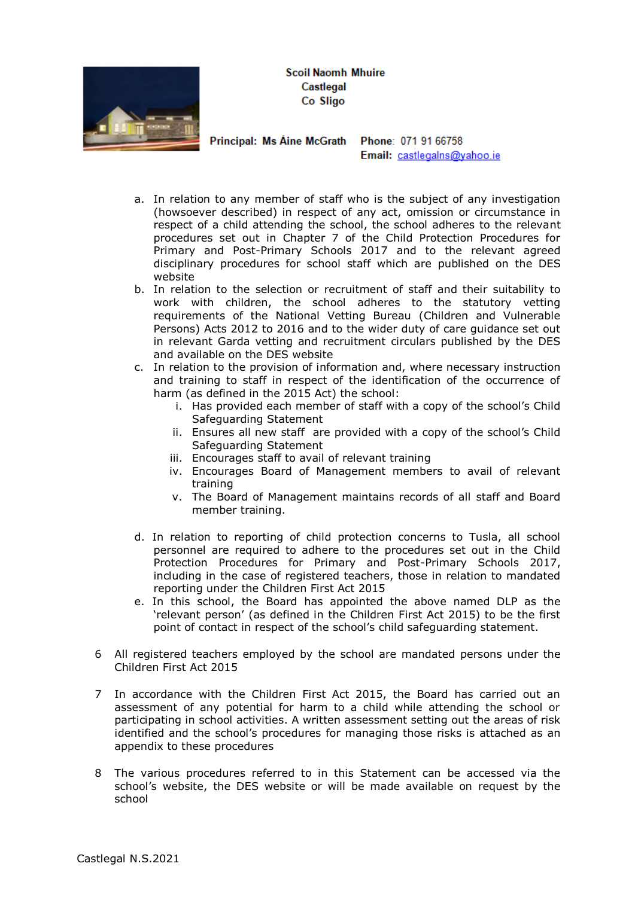**Scoil Naomh Mhuire** Castlegal Co Sligo



Principal: Ms Aine McGrath Phone: 071 91 66758

Email: castlegalns@yahoo.ie

- a. In relation to any member of staff who is the subject of any investigation (howsoever described) in respect of any act, omission or circumstance in respect of a child attending the school, the school adheres to the relevant procedures set out in Chapter 7 of the Child Protection Procedures for Primary and Post-Primary Schools 2017 and to the relevant agreed disciplinary procedures for school staff which are published on the DES website
- b. In relation to the selection or recruitment of staff and their suitability to work with children, the school adheres to the statutory vetting requirements of the National Vetting Bureau (Children and Vulnerable Persons) Acts 2012 to 2016 and to the wider duty of care guidance set out in relevant Garda vetting and recruitment circulars published by the DES and available on the DES website
- c. In relation to the provision of information and, where necessary instruction and training to staff in respect of the identification of the occurrence of harm (as defined in the 2015 Act) the school:
	- i. Has provided each member of staff with a copy of the school's Child Safeguarding Statement
	- ii. Ensures all new staff are provided with a copy of the school's Child Safeguarding Statement
	- iii. Encourages staff to avail of relevant training
	- iv. Encourages Board of Management members to avail of relevant training
	- v. The Board of Management maintains records of all staff and Board member training.
- d. In relation to reporting of child protection concerns to Tusla, all school personnel are required to adhere to the procedures set out in the Child Protection Procedures for Primary and Post-Primary Schools 2017, including in the case of registered teachers, those in relation to mandated reporting under the Children First Act 2015
- e. In this school, the Board has appointed the above named DLP as the 'relevant person' (as defined in the Children First Act 2015) to be the first point of contact in respect of the school's child safeguarding statement.
- 6 All registered teachers employed by the school are mandated persons under the Children First Act 2015
- 7 In accordance with the Children First Act 2015, the Board has carried out an assessment of any potential for harm to a child while attending the school or participating in school activities. A written assessment setting out the areas of risk identified and the school's procedures for managing those risks is attached as an appendix to these procedures
- 8 The various procedures referred to in this Statement can be accessed via the school's website, the DES website or will be made available on request by the school